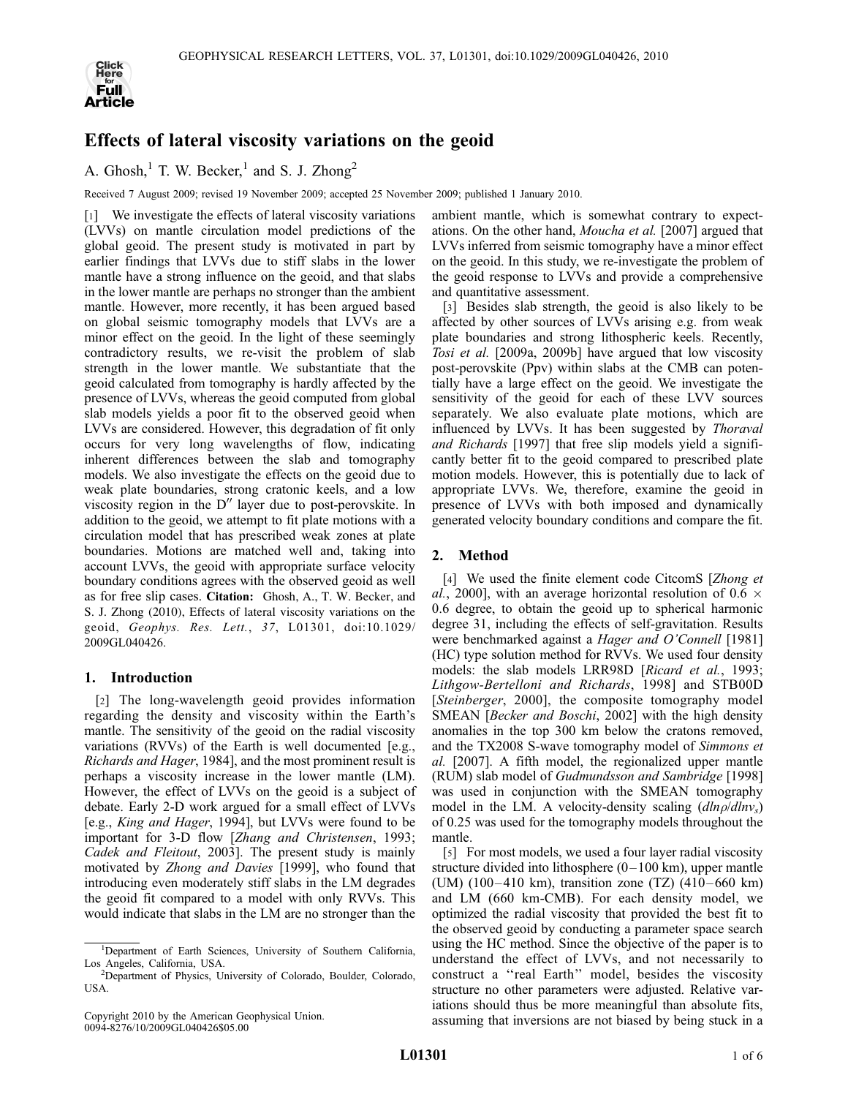

# Effects of lateral viscosity variations on the geoid

A. Ghosh,<sup>1</sup> T. W. Becker,<sup>1</sup> and S. J. Zhong<sup>2</sup>

Received 7 August 2009; revised 19 November 2009; accepted 25 November 2009; published 1 January 2010.

[1] We investigate the effects of lateral viscosity variations (LVVs) on mantle circulation model predictions of the global geoid. The present study is motivated in part by earlier findings that LVVs due to stiff slabs in the lower mantle have a strong influence on the geoid, and that slabs in the lower mantle are perhaps no stronger than the ambient mantle. However, more recently, it has been argued based on global seismic tomography models that LVVs are a minor effect on the geoid. In the light of these seemingly contradictory results, we re-visit the problem of slab strength in the lower mantle. We substantiate that the geoid calculated from tomography is hardly affected by the presence of LVVs, whereas the geoid computed from global slab models yields a poor fit to the observed geoid when LVVs are considered. However, this degradation of fit only occurs for very long wavelengths of flow, indicating inherent differences between the slab and tomography models. We also investigate the effects on the geoid due to weak plate boundaries, strong cratonic keels, and a low viscosity region in the  $D''$  layer due to post-perovskite. In addition to the geoid, we attempt to fit plate motions with a circulation model that has prescribed weak zones at plate boundaries. Motions are matched well and, taking into account LVVs, the geoid with appropriate surface velocity boundary conditions agrees with the observed geoid as well as for free slip cases. Citation: Ghosh, A., T. W. Becker, and S. J. Zhong (2010), Effects of lateral viscosity variations on the geoid, Geophys. Res. Lett., 37, L01301, doi:10.1029/ 2009GL040426.

# 1. Introduction

[2] The long-wavelength geoid provides information regarding the density and viscosity within the Earth's mantle. The sensitivity of the geoid on the radial viscosity variations (RVVs) of the Earth is well documented [e.g., Richards and Hager, 1984], and the most prominent result is perhaps a viscosity increase in the lower mantle (LM). However, the effect of LVVs on the geoid is a subject of debate. Early 2-D work argued for a small effect of LVVs [e.g., King and Hager, 1994], but LVVs were found to be important for 3-D flow [Zhang and Christensen, 1993; Cadek and Fleitout, 2003]. The present study is mainly motivated by Zhong and Davies [1999], who found that introducing even moderately stiff slabs in the LM degrades the geoid fit compared to a model with only RVVs. This would indicate that slabs in the LM are no stronger than the

ambient mantle, which is somewhat contrary to expectations. On the other hand, Moucha et al. [2007] argued that LVVs inferred from seismic tomography have a minor effect on the geoid. In this study, we re-investigate the problem of the geoid response to LVVs and provide a comprehensive and quantitative assessment.

[3] Besides slab strength, the geoid is also likely to be affected by other sources of LVVs arising e.g. from weak plate boundaries and strong lithospheric keels. Recently, Tosi et al. [2009a, 2009b] have argued that low viscosity post-perovskite (Ppv) within slabs at the CMB can potentially have a large effect on the geoid. We investigate the sensitivity of the geoid for each of these LVV sources separately. We also evaluate plate motions, which are influenced by LVVs. It has been suggested by Thoraval and Richards [1997] that free slip models yield a significantly better fit to the geoid compared to prescribed plate motion models. However, this is potentially due to lack of appropriate LVVs. We, therefore, examine the geoid in presence of LVVs with both imposed and dynamically generated velocity boundary conditions and compare the fit.

# 2. Method

[4] We used the finite element code CitcomS [Zhong et al., 2000], with an average horizontal resolution of 0.6  $\times$ 0.6 degree, to obtain the geoid up to spherical harmonic degree 31, including the effects of self-gravitation. Results were benchmarked against a *Hager and O'Connell* [1981] (HC) type solution method for RVVs. We used four density models: the slab models LRR98D [Ricard et al., 1993; Lithgow-Bertelloni and Richards, 1998] and STB00D [Steinberger, 2000], the composite tomography model SMEAN [Becker and Boschi, 2002] with the high density anomalies in the top 300 km below the cratons removed, and the TX2008 S-wave tomography model of Simmons et al. [2007]. A fifth model, the regionalized upper mantle (RUM) slab model of Gudmundsson and Sambridge [1998] was used in conjunction with the SMEAN tomography model in the LM. A velocity-density scaling  $(dln \rho/dln v<sub>s</sub>)$ of 0.25 was used for the tomography models throughout the mantle.

[5] For most models, we used a four layer radial viscosity structure divided into lithosphere  $(0-100 \text{ km})$ , upper mantle (UM)  $(100-410 \text{ km})$ , transition zone (TZ)  $(410-660 \text{ km})$ and LM (660 km-CMB). For each density model, we optimized the radial viscosity that provided the best fit to the observed geoid by conducting a parameter space search using the HC method. Since the objective of the paper is to understand the effect of LVVs, and not necessarily to construct a ''real Earth'' model, besides the viscosity structure no other parameters were adjusted. Relative variations should thus be more meaningful than absolute fits, assuming that inversions are not biased by being stuck in a

<sup>&</sup>lt;sup>1</sup>Department of Earth Sciences, University of Southern California, Los Angeles, California, USA.<br><sup>2</sup>Department of Physics, University of Colorado, Boulder, Colorado,

USA.

Copyright 2010 by the American Geophysical Union. 0094-8276/10/2009GL040426\$05.00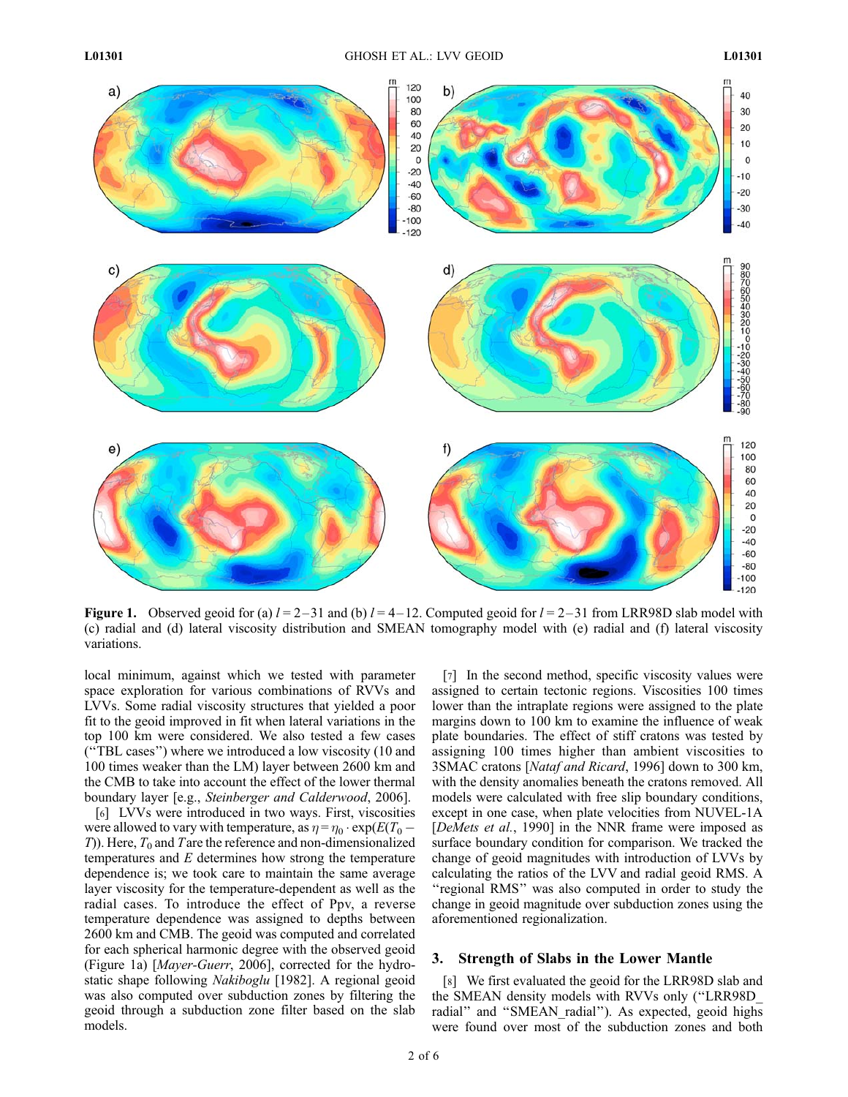L01301 GHOSH ET AL.: LVV GEOID L01301



**Figure 1.** Observed geoid for (a)  $l = 2-31$  and (b)  $l = 4-12$ . Computed geoid for  $l = 2-31$  from LRR98D slab model with (c) radial and (d) lateral viscosity distribution and SMEAN tomography model with (e) radial and (f) lateral viscosity variations.

local minimum, against which we tested with parameter space exploration for various combinations of RVVs and LVVs. Some radial viscosity structures that yielded a poor fit to the geoid improved in fit when lateral variations in the top 100 km were considered. We also tested a few cases (''TBL cases'') where we introduced a low viscosity (10 and 100 times weaker than the LM) layer between 2600 km and the CMB to take into account the effect of the lower thermal boundary layer [e.g., Steinberger and Calderwood, 2006].

[6] LVVs were introduced in two ways. First, viscosities were allowed to vary with temperature, as  $\eta = \eta_0 \cdot \exp(E(T_0 -$ T). Here,  $T_0$  and Tare the reference and non-dimensionalized temperatures and  $E$  determines how strong the temperature dependence is; we took care to maintain the same average layer viscosity for the temperature-dependent as well as the radial cases. To introduce the effect of Ppv, a reverse temperature dependence was assigned to depths between 2600 km and CMB. The geoid was computed and correlated for each spherical harmonic degree with the observed geoid (Figure 1a) [Mayer-Guerr, 2006], corrected for the hydrostatic shape following Nakiboglu [1982]. A regional geoid was also computed over subduction zones by filtering the geoid through a subduction zone filter based on the slab models.

[7] In the second method, specific viscosity values were assigned to certain tectonic regions. Viscosities 100 times lower than the intraplate regions were assigned to the plate margins down to 100 km to examine the influence of weak plate boundaries. The effect of stiff cratons was tested by assigning 100 times higher than ambient viscosities to 3SMAC cratons [Nataf and Ricard, 1996] down to 300 km, with the density anomalies beneath the cratons removed. All models were calculated with free slip boundary conditions, except in one case, when plate velocities from NUVEL-1A [DeMets et al., 1990] in the NNR frame were imposed as surface boundary condition for comparison. We tracked the change of geoid magnitudes with introduction of LVVs by calculating the ratios of the LVV and radial geoid RMS. A ''regional RMS'' was also computed in order to study the change in geoid magnitude over subduction zones using the aforementioned regionalization.

## 3. Strength of Slabs in the Lower Mantle

[8] We first evaluated the geoid for the LRR98D slab and the SMEAN density models with RVVs only (''LRR98D\_ radial" and "SMEAN radial"). As expected, geoid highs were found over most of the subduction zones and both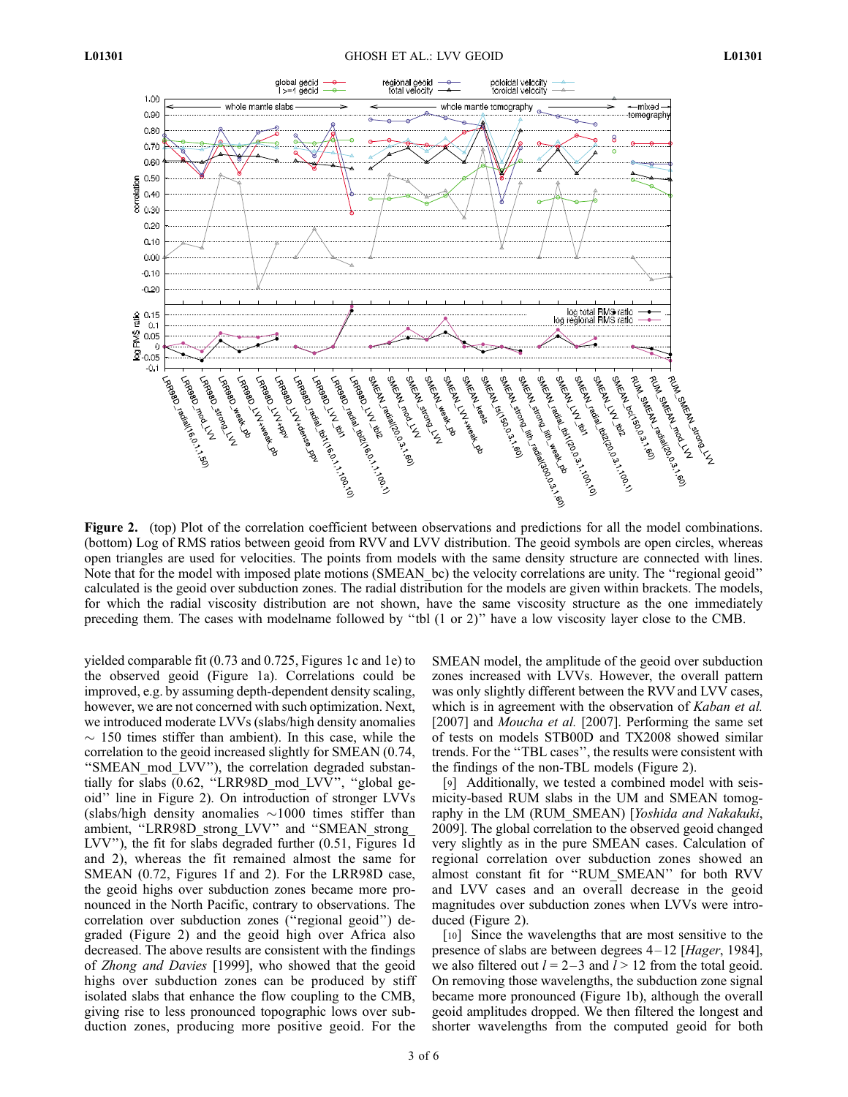

(bottom) Log of RMS ratios between geoid from RVV and LVV distribution. The geoid symbols are open circles, whereas open triangles are used for velocities. The points from models with the same density structure are connected with lines. Note that for the model with imposed plate motions (SMEAN bc) the velocity correlations are unity. The "regional geoid" calculated is the geoid over subduction zones. The radial distribution for the models are given within brackets. The models, for which the radial viscosity distribution are not shown, have the same viscosity structure as the one immediately preceding them. The cases with modelname followed by ''tbl (1 or 2)'' have a low viscosity layer close to the CMB.

yielded comparable fit (0.73 and 0.725, Figures 1c and 1e) to the observed geoid (Figure 1a). Correlations could be improved, e.g. by assuming depth-dependent density scaling, however, we are not concerned with such optimization. Next, we introduced moderate LVVs (slabs/high density anomalies  $\sim$  150 times stiffer than ambient). In this case, while the correlation to the geoid increased slightly for SMEAN (0.74, ''SMEAN\_mod\_LVV''), the correlation degraded substantially for slabs (0.62, ''LRR98D\_mod\_LVV'', ''global geoid'' line in Figure 2). On introduction of stronger LVVs (slabs/high density anomalies  $\sim$ 1000 times stiffer than ambient, "LRR98D\_strong\_LVV" and "SMEAN\_strong LVV''), the fit for slabs degraded further (0.51, Figures 1d and 2), whereas the fit remained almost the same for SMEAN (0.72, Figures 1f and 2). For the LRR98D case, the geoid highs over subduction zones became more pronounced in the North Pacific, contrary to observations. The correlation over subduction zones (''regional geoid'') degraded (Figure 2) and the geoid high over Africa also decreased. The above results are consistent with the findings of Zhong and Davies [1999], who showed that the geoid highs over subduction zones can be produced by stiff isolated slabs that enhance the flow coupling to the CMB, giving rise to less pronounced topographic lows over subduction zones, producing more positive geoid. For the

SMEAN model, the amplitude of the geoid over subduction zones increased with LVVs. However, the overall pattern was only slightly different between the RVV and LVV cases, which is in agreement with the observation of Kaban et al. [2007] and *Moucha et al.* [2007]. Performing the same set of tests on models STB00D and TX2008 showed similar trends. For the ''TBL cases'', the results were consistent with the findings of the non-TBL models (Figure 2).

[9] Additionally, we tested a combined model with seismicity-based RUM slabs in the UM and SMEAN tomography in the LM (RUM\_SMEAN) [Yoshida and Nakakuki, 2009]. The global correlation to the observed geoid changed very slightly as in the pure SMEAN cases. Calculation of regional correlation over subduction zones showed an almost constant fit for ''RUM\_SMEAN'' for both RVV and LVV cases and an overall decrease in the geoid magnitudes over subduction zones when LVVs were introduced (Figure 2).

[10] Since the wavelengths that are most sensitive to the presence of slabs are between degrees 4–12 [Hager, 1984], we also filtered out  $l = 2-3$  and  $l > 12$  from the total geoid. On removing those wavelengths, the subduction zone signal became more pronounced (Figure 1b), although the overall geoid amplitudes dropped. We then filtered the longest and shorter wavelengths from the computed geoid for both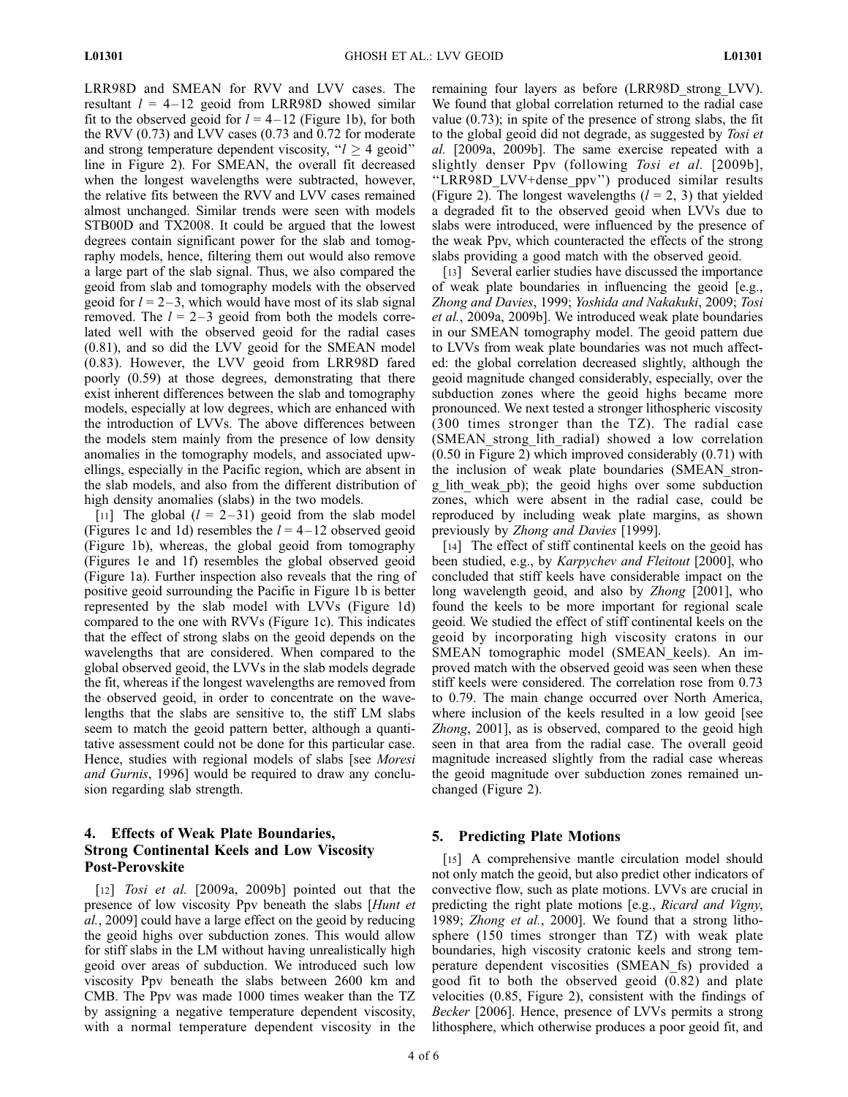LRR98D and SMEAN for RVV and LVV cases. The resultant  $l = 4-12$  geoid from LRR98D showed similar fit to the observed geoid for  $l = 4 - 12$  (Figure 1b), for both the RVV (0.73) and LVV cases (0.73 and 0.72 for moderate and strong temperature dependent viscosity,  $l > 4$  geoid" line in Figure 2). For SMEAN, the overall fit decreased when the longest wavelengths were subtracted, however, the relative fits between the RVV and LVV cases remained almost unchanged. Similar trends were seen with models STB00D and TX2008. It could be argued that the lowest degrees contain significant power for the slab and tomography models, hence, filtering them out would also remove a large part of the slab signal. Thus, we also compared the geoid from slab and tomography models with the observed geoid for  $l = 2-3$ , which would have most of its slab signal removed. The  $l = 2-3$  geoid from both the models correlated well with the observed geoid for the radial cases (0.81), and so did the LVV geoid for the SMEAN model (0.83). However, the LVV geoid from LRR98D fared poorly (0.59) at those degrees, demonstrating that there exist inherent differences between the slab and tomography models, especially at low degrees, which are enhanced with the introduction of LVVs. The above differences between the models stem mainly from the presence of low density anomalies in the tomography models, and associated upwellings, especially in the Pacific region, which are absent in the slab models, and also from the different distribution of high density anomalies (slabs) in the two models.

[11] The global  $(l = 2-31)$  geoid from the slab model (Figures 1c and 1d) resembles the  $l = 4-12$  observed geoid (Figure 1b), whereas, the global geoid from tomography (Figures 1e and 1f) resembles the global observed geoid (Figure 1a). Further inspection also reveals that the ring of positive geoid surrounding the Pacific in Figure 1b is better represented by the slab model with LVVs (Figure 1d) compared to the one with RVVs (Figure 1c). This indicates that the effect of strong slabs on the geoid depends on the wavelengths that are considered. When compared to the global observed geoid, the LVVs in the slab models degrade the fit, whereas if the longest wavelengths are removed from the observed geoid, in order to concentrate on the wavelengths that the slabs are sensitive to, the stiff LM slabs seem to match the geoid pattern better, although a quantitative assessment could not be done for this particular case. Hence, studies with regional models of slabs [see *Moresi* and Gurnis, 1996] would be required to draw any conclusion regarding slab strength.

# 4. Effects of Weak Plate Boundaries, Strong Continental Keels and Low Viscosity Post-Perovskite

[12] Tosi et al. [2009a, 2009b] pointed out that the presence of low viscosity Ppv beneath the slabs [Hunt et al., 2009] could have a large effect on the geoid by reducing the geoid highs over subduction zones. This would allow for stiff slabs in the LM without having unrealistically high geoid over areas of subduction. We introduced such low viscosity Ppv beneath the slabs between 2600 km and CMB. The Ppv was made 1000 times weaker than the TZ by assigning a negative temperature dependent viscosity, with a normal temperature dependent viscosity in the

remaining four layers as before (LRR98D\_strong\_LVV). We found that global correlation returned to the radial case value (0.73); in spite of the presence of strong slabs, the fit to the global geoid did not degrade, as suggested by Tosi et al. [2009a, 2009b]. The same exercise repeated with a slightly denser Ppv (following Tosi et al. [2009b], ''LRR98D\_LVV+dense\_ppv'') produced similar results (Figure 2). The longest wavelengths  $(l = 2, 3)$  that yielded a degraded fit to the observed geoid when LVVs due to slabs were introduced, were influenced by the presence of the weak Ppv, which counteracted the effects of the strong slabs providing a good match with the observed geoid.

[13] Several earlier studies have discussed the importance of weak plate boundaries in influencing the geoid [e.g., Zhong and Davies, 1999; Yoshida and Nakakuki, 2009; Tosi et al., 2009a, 2009b]. We introduced weak plate boundaries in our SMEAN tomography model. The geoid pattern due to LVVs from weak plate boundaries was not much affected: the global correlation decreased slightly, although the geoid magnitude changed considerably, especially, over the subduction zones where the geoid highs became more pronounced. We next tested a stronger lithospheric viscosity (300 times stronger than the TZ). The radial case (SMEAN\_strong\_lith\_radial) showed a low correlation (0.50 in Figure 2) which improved considerably (0.71) with the inclusion of weak plate boundaries (SMEAN\_strong\_lith\_weak\_pb); the geoid highs over some subduction zones, which were absent in the radial case, could be reproduced by including weak plate margins, as shown previously by Zhong and Davies [1999].

[14] The effect of stiff continental keels on the geoid has been studied, e.g., by Karpychev and Fleitout [2000], who concluded that stiff keels have considerable impact on the long wavelength geoid, and also by *Zhong* [2001], who found the keels to be more important for regional scale geoid. We studied the effect of stiff continental keels on the geoid by incorporating high viscosity cratons in our SMEAN tomographic model (SMEAN\_keels). An improved match with the observed geoid was seen when these stiff keels were considered. The correlation rose from 0.73 to 0.79. The main change occurred over North America, where inclusion of the keels resulted in a low geoid [see Zhong, 2001], as is observed, compared to the geoid high seen in that area from the radial case. The overall geoid magnitude increased slightly from the radial case whereas the geoid magnitude over subduction zones remained unchanged (Figure 2).

## 5. Predicting Plate Motions

[15] A comprehensive mantle circulation model should not only match the geoid, but also predict other indicators of convective flow, such as plate motions. LVVs are crucial in predicting the right plate motions [e.g., Ricard and Vigny, 1989; Zhong et al., 2000]. We found that a strong lithosphere (150 times stronger than TZ) with weak plate boundaries, high viscosity cratonic keels and strong temperature dependent viscosities (SMEAN\_fs) provided a good fit to both the observed geoid (0.82) and plate velocities (0.85, Figure 2), consistent with the findings of Becker [2006]. Hence, presence of LVVs permits a strong lithosphere, which otherwise produces a poor geoid fit, and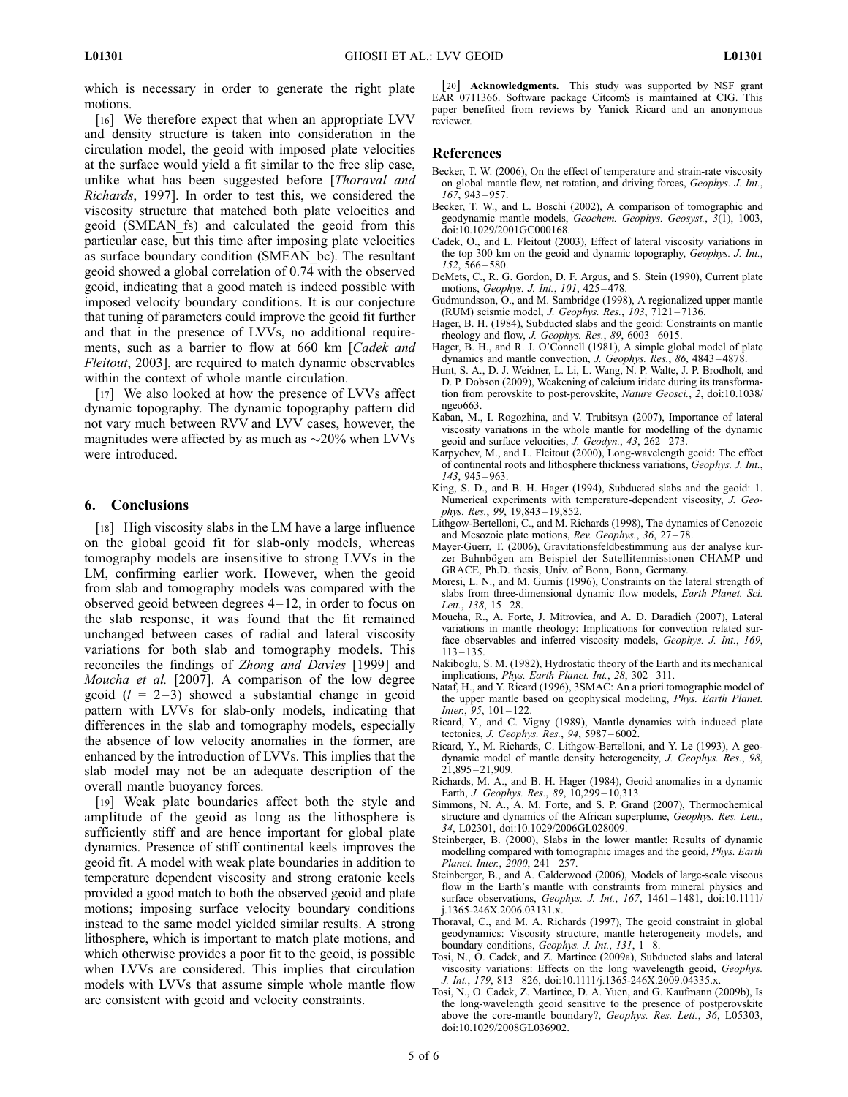which is necessary in order to generate the right plate motions.

[16] We therefore expect that when an appropriate LVV and density structure is taken into consideration in the circulation model, the geoid with imposed plate velocities at the surface would yield a fit similar to the free slip case, unlike what has been suggested before [Thoraval and Richards, 1997]. In order to test this, we considered the viscosity structure that matched both plate velocities and geoid (SMEAN\_fs) and calculated the geoid from this particular case, but this time after imposing plate velocities as surface boundary condition (SMEAN\_bc). The resultant geoid showed a global correlation of 0.74 with the observed geoid, indicating that a good match is indeed possible with imposed velocity boundary conditions. It is our conjecture that tuning of parameters could improve the geoid fit further and that in the presence of LVVs, no additional requirements, such as a barrier to flow at 660 km [Cadek and Fleitout, 2003], are required to match dynamic observables within the context of whole mantle circulation.

[17] We also looked at how the presence of LVVs affect dynamic topography. The dynamic topography pattern did not vary much between RVV and LVV cases, however, the magnitudes were affected by as much as  $\sim$ 20% when LVVs were introduced.

### 6. Conclusions

[18] High viscosity slabs in the LM have a large influence on the global geoid fit for slab-only models, whereas tomography models are insensitive to strong LVVs in the LM, confirming earlier work. However, when the geoid from slab and tomography models was compared with the observed geoid between degrees  $4-12$ , in order to focus on the slab response, it was found that the fit remained unchanged between cases of radial and lateral viscosity variations for both slab and tomography models. This reconciles the findings of Zhong and Davies [1999] and Moucha et al. [2007]. A comparison of the low degree geoid  $(l = 2-3)$  showed a substantial change in geoid pattern with LVVs for slab-only models, indicating that differences in the slab and tomography models, especially the absence of low velocity anomalies in the former, are enhanced by the introduction of LVVs. This implies that the slab model may not be an adequate description of the overall mantle buoyancy forces.

[19] Weak plate boundaries affect both the style and amplitude of the geoid as long as the lithosphere is sufficiently stiff and are hence important for global plate dynamics. Presence of stiff continental keels improves the geoid fit. A model with weak plate boundaries in addition to temperature dependent viscosity and strong cratonic keels provided a good match to both the observed geoid and plate motions; imposing surface velocity boundary conditions instead to the same model yielded similar results. A strong lithosphere, which is important to match plate motions, and which otherwise provides a poor fit to the geoid, is possible when LVVs are considered. This implies that circulation models with LVVs that assume simple whole mantle flow are consistent with geoid and velocity constraints.

[20] **Acknowledgments.** This study was supported by NSF grant EAR 0711366. Software package CitcomS is maintained at CIG. This paper benefited from reviews by Yanick Ricard and an anonymous reviewer.

#### References

- Becker, T. W. (2006), On the effect of temperature and strain-rate viscosity on global mantle flow, net rotation, and driving forces, Geophys. J. Int., 167, 943 – 957.
- Becker, T. W., and L. Boschi (2002), A comparison of tomographic and geodynamic mantle models, Geochem. Geophys. Geosyst.,  $3(1)$ , 1003, doi:10.1029/2001GC000168.
- Cadek, O., and L. Fleitout (2003), Effect of lateral viscosity variations in the top 300 km on the geoid and dynamic topography, Geophys. J. Int., 152, 566 – 580.
- DeMets, C., R. G. Gordon, D. F. Argus, and S. Stein (1990), Current plate motions, Geophys. J. Int., 101, 425 – 478.
- Gudmundsson, O., and M. Sambridge (1998), A regionalized upper mantle (RUM) seismic model, J. Geophys. Res., 103, 7121 – 7136.
- Hager, B. H. (1984), Subducted slabs and the geoid: Constraints on mantle rheology and flow, J. Geophys. Res., 89, 6003-6015.
- Hager, B. H., and R. J. O'Connell (1981), A simple global model of plate dynamics and mantle convection, J. Geophys. Res., 86, 4843-4878.
- Hunt, S. A., D. J. Weidner, L. Li, L. Wang, N. P. Walte, J. P. Brodholt, and D. P. Dobson (2009), Weakening of calcium iridate during its transformation from perovskite to post-perovskite, Nature Geosci., 2, doi:10.1038/ ngeo663.
- Kaban, M., I. Rogozhina, and V. Trubitsyn (2007), Importance of lateral viscosity variations in the whole mantle for modelling of the dynamic geoid and surface velocities, J. Geodyn., 43, 262 – 273.
- Karpychev, M., and L. Fleitout (2000), Long-wavelength geoid: The effect of continental roots and lithosphere thickness variations, Geophys. J. Int., 143, 945 – 963.
- King, S. D., and B. H. Hager (1994), Subducted slabs and the geoid: 1. Numerical experiments with temperature-dependent viscosity, J. Geophys. Res., 99, 19,843-19,852
- Lithgow-Bertelloni, C., and M. Richards (1998), The dynamics of Cenozoic and Mesozoic plate motions, Rev. Geophys., 36, 27 – 78.
- Mayer-Guerr, T. (2006), Gravitationsfeldbestimmung aus der analyse kurzer Bahnbögen am Beispiel der Satellitenmissionen CHAMP und GRACE, Ph.D. thesis, Univ. of Bonn, Bonn, Germany.
- Moresi, L. N., and M. Gurnis (1996), Constraints on the lateral strength of slabs from three-dimensional dynamic flow models, Earth Planet. Sci. Lett., 138, 15–28.
- Moucha, R., A. Forte, J. Mitrovica, and A. D. Daradich (2007), Lateral variations in mantle rheology: Implications for convection related surface observables and inferred viscosity models, Geophys. J. Int., 169,  $113 - 135$
- Nakiboglu, S. M. (1982), Hydrostatic theory of the Earth and its mechanical implications, *Phys. Earth Planet. Int.*, 28, 302-311.
- Nataf, H., and Y. Ricard (1996), 3SMAC: An a priori tomographic model of the upper mantle based on geophysical modeling, Phys. Earth Planet. Inter., 95, 101 – 122.
- Ricard, Y., and C. Vigny (1989), Mantle dynamics with induced plate tectonics, J. Geophys. Res., 94, 5987 – 6002.
- Ricard, Y., M. Richards, C. Lithgow-Bertelloni, and Y. Le (1993), A geodynamic model of mantle density heterogeneity, J. Geophys. Res., 98, 21,895 – 21,909.
- Richards, M. A., and B. H. Hager (1984), Geoid anomalies in a dynamic Earth, J. Geophys. Res., 89, 10,299 – 10,313.
- Simmons, N. A., A. M. Forte, and S. P. Grand (2007), Thermochemical structure and dynamics of the African superplume, Geophys. Res. Lett., 34, L02301, doi:10.1029/2006GL028009.
- Steinberger, B. (2000), Slabs in the lower mantle: Results of dynamic modelling compared with tomographic images and the geoid, Phys. Earth Planet. Inter., 2000, 241-257.
- Steinberger, B., and A. Calderwood (2006), Models of large-scale viscous flow in the Earth's mantle with constraints from mineral physics and surface observations, Geophys. J. Int., 167, 1461-1481, doi:10.1111/ j.1365-246X.2006.03131.x.
- Thoraval, C., and M. A. Richards (1997), The geoid constraint in global geodynamics: Viscosity structure, mantle heterogeneity models, and boundary conditions, Geophys. J. Int., 131, 1-8.
- Tosi, N., O. Cadek, and Z. Martinec (2009a), Subducted slabs and lateral viscosity variations: Effects on the long wavelength geoid, Geophys. J. Int., 179, 813-826, doi:10.1111/j.1365-246X.2009.04335.x.
- Tosi, N., O. Cadek, Z. Martinec, D. A. Yuen, and G. Kaufmann (2009b), Is the long-wavelength geoid sensitive to the presence of postperovskite above the core-mantle boundary?, Geophys. Res. Lett., 36, L05303, doi:10.1029/2008GL036902.